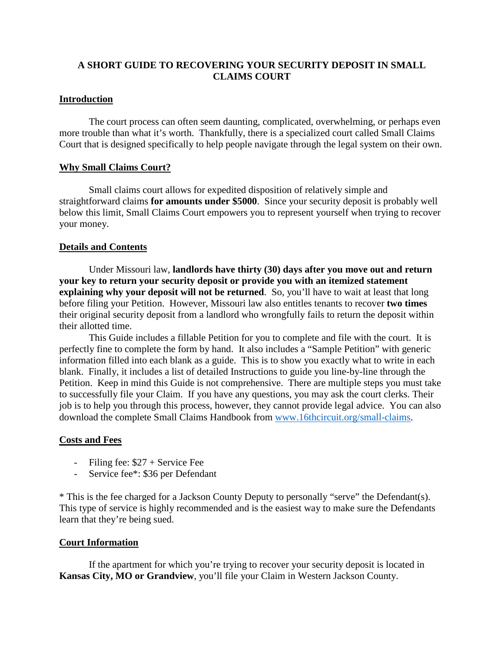## **A SHORT GUIDE TO RECOVERING YOUR SECURITY DEPOSIT IN SMALL CLAIMS COURT**

## **Introduction**

The court process can often seem daunting, complicated, overwhelming, or perhaps even more trouble than what it's worth. Thankfully, there is a specialized court called Small Claims Court that is designed specifically to help people navigate through the legal system on their own.

### **Why Small Claims Court?**

Small claims court allows for expedited disposition of relatively simple and straightforward claims **for amounts under \$5000**. Since your security deposit is probably well below this limit, Small Claims Court empowers you to represent yourself when trying to recover your money.

## **Details and Contents**

Under Missouri law, **landlords have thirty (30) days after you move out and return your key to return your security deposit or provide you with an itemized statement explaining why your deposit will not be returned**. So, you'll have to wait at least that long before filing your Petition. However, Missouri law also entitles tenants to recover **two times** their original security deposit from a landlord who wrongfully fails to return the deposit within their allotted time.

This Guide includes a fillable Petition for you to complete and file with the court. It is perfectly fine to complete the form by hand. It also includes a "Sample Petition" with generic information filled into each blank as a guide. This is to show you exactly what to write in each blank. Finally, it includes a list of detailed Instructions to guide you line-by-line through the Petition. Keep in mind this Guide is not comprehensive. There are multiple steps you must take to successfully file your Claim. If you have any questions, you may ask the court clerks. Their job is to help you through this process, however, they cannot provide legal advice. You can also download the complete Small Claims Handbook from [www.16thcircuit.org/small-claims.](http://www.16thcircuit.org/small-claims)

### **Costs and Fees**

- Filing fee:  $$27 +$  Service Fee
- Service fee\*: \$36 per Defendant

\* This is the fee charged for a Jackson County Deputy to personally "serve" the Defendant(s). This type of service is highly recommended and is the easiest way to make sure the Defendants learn that they're being sued.

### **Court Information**

If the apartment for which you're trying to recover your security deposit is located in **Kansas City, MO or Grandview**, you'll file your Claim in Western Jackson County.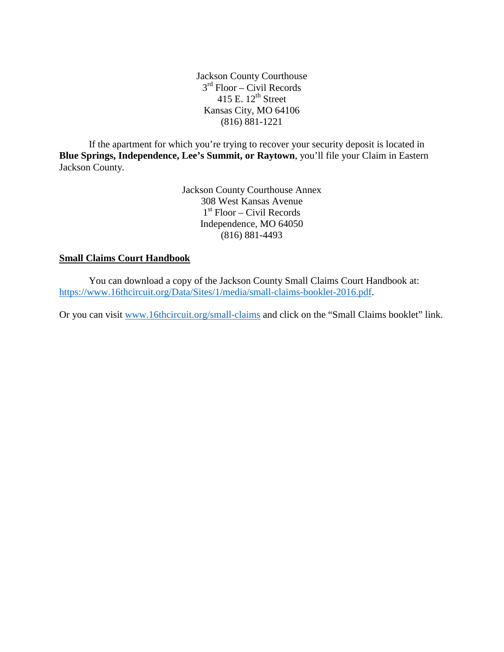Jackson County Courthouse  $3<sup>rd</sup>$  Floor – Civil Records 415 E.  $12^{th}$  Street Kansas City, MO 64106 (816) 881-1221

If the apartment for which you're trying to recover your security deposit is located in **Blue Springs, Independence, Lee's Summit, or Raytown**, you'll file your Claim in Eastern Jackson County.

> Jackson County Courthouse Annex 308 West Kansas Avenue  $1<sup>st</sup>$  Floor – Civil Records Independence, MO 64050 (816) 881-4493

## **Small Claims Court Handbook**

You can download a copy of the Jackson County Small Claims Court Handbook at: [https://www.16thcircuit.org/Data/Sites/1/media/small-claims-booklet-2016.pdf.](https://www.16thcircuit.org/Data/Sites/1/media/small-claims-booklet-2016.pdf)

Or you can visit [www.16thcircuit.org/small-claims](http://www.16thcircuit.org/small-claims) and click on the "Small Claims booklet" link.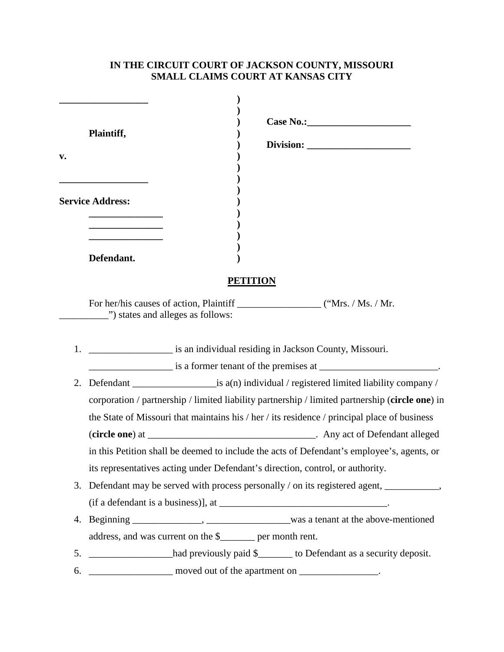## **IN THE CIRCUIT COURT OF JACKSON COUNTY, MISSOURI SMALL CLAIMS COURT AT KANSAS CITY**

|    | Plaintiff,                                                                                      |                                                                                              |  |  |
|----|-------------------------------------------------------------------------------------------------|----------------------------------------------------------------------------------------------|--|--|
| v. |                                                                                                 |                                                                                              |  |  |
|    | <u> 1980 - Johann Barn, mars ann an t-</u><br><b>Service Address:</b>                           |                                                                                              |  |  |
|    |                                                                                                 |                                                                                              |  |  |
|    | Defendant.                                                                                      |                                                                                              |  |  |
|    |                                                                                                 | <b>PETITION</b>                                                                              |  |  |
|    | ") states and alleges as follows:                                                               |                                                                                              |  |  |
|    |                                                                                                 | is an individual residing in Jackson County, Missouri.                                       |  |  |
|    |                                                                                                 | $\frac{1}{1}$ is a former tenant of the premises at $\frac{1}{1}$ .                          |  |  |
| 2. |                                                                                                 |                                                                                              |  |  |
|    | corporation / partnership / limited liability partnership / limited partnership (circle one) in |                                                                                              |  |  |
|    |                                                                                                 | the State of Missouri that maintains his / her / its residence / principal place of business |  |  |
|    |                                                                                                 |                                                                                              |  |  |
|    | in this Petition shall be deemed to include the acts of Defendant's employee's, agents, or      |                                                                                              |  |  |
|    |                                                                                                 | its representatives acting under Defendant's direction, control, or authority.               |  |  |
| 3. |                                                                                                 | Defendant may be served with process personally / on its registered agent, ____________      |  |  |
|    |                                                                                                 |                                                                                              |  |  |
|    |                                                                                                 |                                                                                              |  |  |
|    | address, and was current on the \$_______ per month rent.                                       |                                                                                              |  |  |
|    |                                                                                                 | 5. had previously paid \$_____ to Defendant as a security deposit.                           |  |  |
| 6. |                                                                                                 | moved out of the apartment on _______________.                                               |  |  |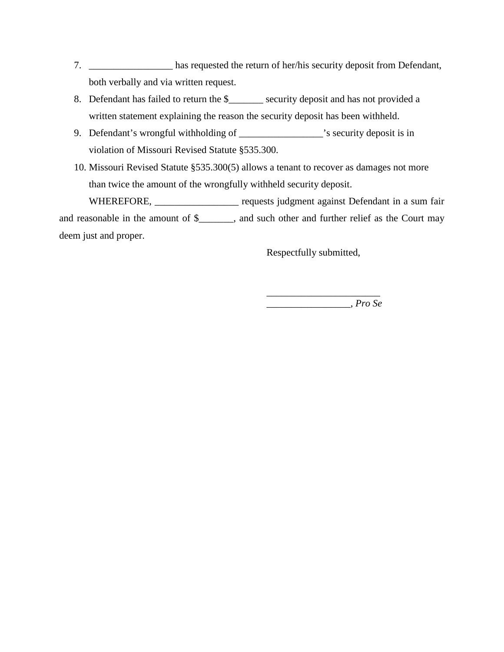- 7. \_\_\_\_\_\_\_\_\_\_\_\_\_\_\_\_\_ has requested the return of her/his security deposit from Defendant, both verbally and via written request.
- 8. Defendant has failed to return the \$\_\_\_\_\_\_\_ security deposit and has not provided a written statement explaining the reason the security deposit has been withheld.
- 9. Defendant's wrongful withholding of \_\_\_\_\_\_\_\_\_\_\_\_\_\_\_\_'s security deposit is in violation of Missouri Revised Statute §535.300.
- 10. Missouri Revised Statute §535.300(5) allows a tenant to recover as damages not more than twice the amount of the wrongfully withheld security deposit.

WHEREFORE, \_\_\_\_\_\_\_\_\_\_\_\_\_\_\_\_\_\_\_ requests judgment against Defendant in a sum fair and reasonable in the amount of \$\_\_\_\_\_\_\_, and such other and further relief as the Court may deem just and proper.

Respectfully submitted,

\_\_\_\_\_\_\_\_\_\_\_\_\_\_\_\_\_\_\_\_\_\_\_ \_\_\_\_\_\_\_\_\_\_\_\_\_\_\_\_\_, *Pro Se*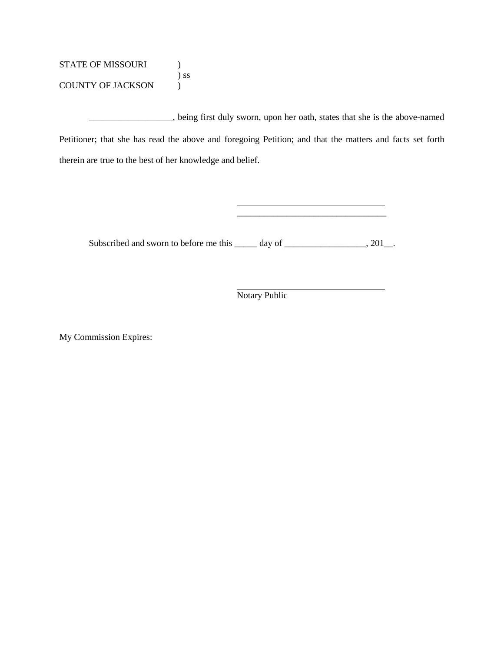STATE OF MISSOURI ) ) ss COUNTY OF JACKSON )

\_\_\_\_\_\_\_\_\_\_\_\_\_\_\_\_\_, being first duly sworn, upon her oath, states that she is the above-named Petitioner; that she has read the above and foregoing Petition; and that the matters and facts set forth therein are true to the best of her knowledge and belief.

Subscribed and sworn to before me this \_\_\_\_\_ day of \_\_\_\_\_\_\_\_\_\_\_\_\_\_\_, 201\_.

Notary Public

\_\_\_\_\_\_\_\_\_\_\_\_\_\_\_\_\_\_\_\_\_\_\_\_\_\_\_\_\_\_\_\_\_

My Commission Expires: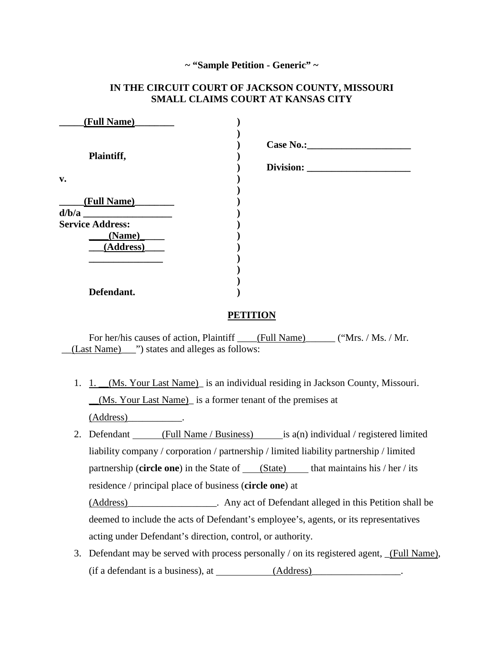#### **~ "Sample Petition - Generic" ~**

## **IN THE CIRCUIT COURT OF JACKSON COUNTY, MISSOURI SMALL CLAIMS COURT AT KANSAS CITY**

| (Full Name)             |                  |
|-------------------------|------------------|
| Plaintiff,              | <b>Case No.:</b> |
|                         | Division:        |
| $\mathbf{v}$ .          |                  |
|                         |                  |
| (Full Name)             |                  |
|                         |                  |
| <b>Service Address:</b> |                  |
| (Name)                  |                  |
| (Address)               |                  |
|                         |                  |
|                         |                  |
|                         |                  |
| Defendant.              |                  |

#### **PETITION**

For her/his causes of action, Plaintiff (Full Name) ("Mrs. / Ms. / Mr. \_\_(Last Name)\_\_\_") states and alleges as follows:

1. 1. (Ms. Your Last Name) is an individual residing in Jackson County, Missouri. \_\_(Ms. Your Last Name)\_ is a former tenant of the premises at (Address)\_\_\_\_\_\_\_\_\_\_\_.

2. Defendant (Full Name / Business) is  $a(n)$  individual / registered limited liability company / corporation / partnership / limited liability partnership / limited partnership (**circle one**) in the State of (State) that maintains his / her / its residence / principal place of business (**circle one**) at (Address)\_\_\_\_\_\_\_\_\_\_\_\_\_\_\_\_\_\_. Any act of Defendant alleged in this Petition shall be deemed to include the acts of Defendant's employee's, agents, or its representatives acting under Defendant's direction, control, or authority.

3. Defendant may be served with process personally / on its registered agent, (Full Name),  $(i$ f a defendant is a business), at  $\qquad \qquad$  (Address)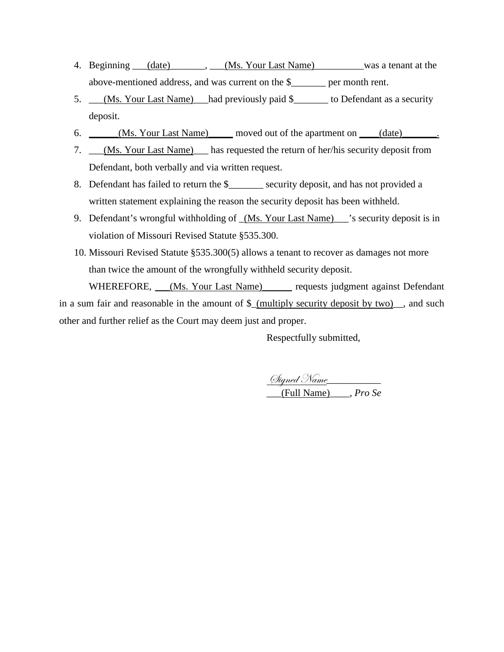- 4. Beginning (date) \_\_\_\_\_\_, (Ms. Your Last Name) was a tenant at the above-mentioned address, and was current on the \$\_\_\_\_\_\_\_ per month rent.
- 5. \_\_\_(Ms. Your Last Name) \_\_had previously paid \$\_\_\_\_\_\_\_ to Defendant as a security deposit.
- 6. \_\_\_\_\_(Ms. Your Last Name) moved out of the apartment on \_\_\_(date) \_\_\_\_\_\_.
- 7. \_\_\_(Ms. Your Last Name)\_\_\_ has requested the return of her/his security deposit from Defendant, both verbally and via written request.
- 8. Defendant has failed to return the \$\_\_\_\_\_\_\_ security deposit, and has not provided a written statement explaining the reason the security deposit has been withheld.
- 9. Defendant's wrongful withholding of  $(Ms. Your Last Name)$  's security deposit is in violation of Missouri Revised Statute §535.300.
- 10. Missouri Revised Statute §535.300(5) allows a tenant to recover as damages not more than twice the amount of the wrongfully withheld security deposit.

WHEREFORE, (Ms. Your Last Name) requests judgment against Defendant in a sum fair and reasonable in the amount of  $\frac{1}{2}$  (multiply security deposit by two), and such other and further relief as the Court may deem just and proper.

Respectfully submitted,

Signed Name\_\_\_\_\_\_\_\_\_\_\_ \_\_\_(Full Name)\_\_\_\_, *Pro Se*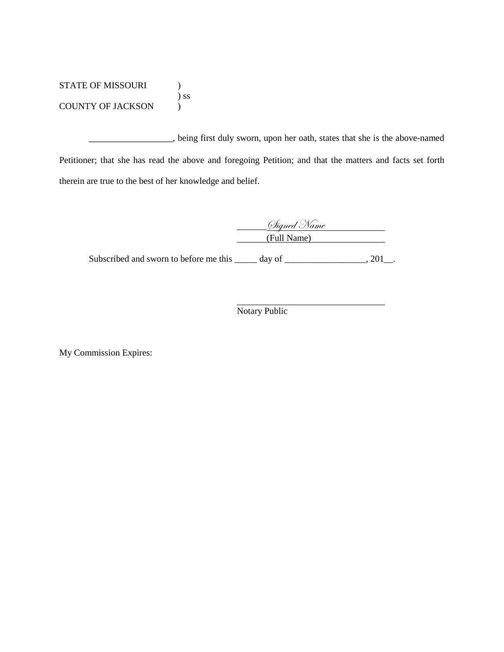STATE OF MISSOURI )  $\sum$ COUNTY OF JACKSON )

\_\_\_\_\_\_\_\_\_\_\_\_\_\_\_\_\_, being first duly sworn, upon her oath, states that she is the above-named Petitioner; that she has read the above and foregoing Petition; and that the matters and facts set forth therein are true to the best of her knowledge and belief.

| (Digned Name |  |
|--------------|--|
| (Full Name)  |  |

Subscribed and sworn to before me this \_\_\_\_\_ day of \_\_\_\_\_\_\_\_\_\_\_\_\_\_\_, 201\_.

Notary Public

My Commission Expires: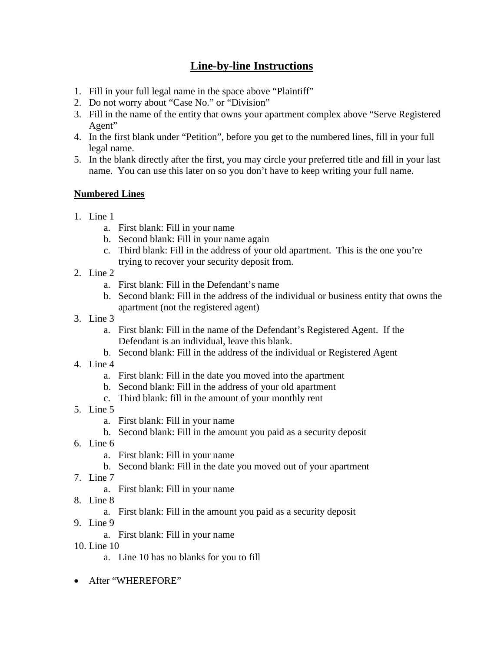# **Line-by-line Instructions**

- 1. Fill in your full legal name in the space above "Plaintiff"
- 2. Do not worry about "Case No." or "Division"
- 3. Fill in the name of the entity that owns your apartment complex above "Serve Registered Agent"
- 4. In the first blank under "Petition", before you get to the numbered lines, fill in your full legal name.
- 5. In the blank directly after the first, you may circle your preferred title and fill in your last name. You can use this later on so you don't have to keep writing your full name.

## **Numbered Lines**

- 1. Line 1
	- a. First blank: Fill in your name
	- b. Second blank: Fill in your name again
	- c. Third blank: Fill in the address of your old apartment. This is the one you're trying to recover your security deposit from.
- 2. Line 2
	- a. First blank: Fill in the Defendant's name
	- b. Second blank: Fill in the address of the individual or business entity that owns the apartment (not the registered agent)
- 3. Line 3
	- a. First blank: Fill in the name of the Defendant's Registered Agent. If the Defendant is an individual, leave this blank.
	- b. Second blank: Fill in the address of the individual or Registered Agent
- 4. Line 4
	- a. First blank: Fill in the date you moved into the apartment
	- b. Second blank: Fill in the address of your old apartment
	- c. Third blank: fill in the amount of your monthly rent
- 5. Line 5
	- a. First blank: Fill in your name
	- b. Second blank: Fill in the amount you paid as a security deposit
- 6. Line 6
	- a. First blank: Fill in your name
	- b. Second blank: Fill in the date you moved out of your apartment
- 7. Line 7
	- a. First blank: Fill in your name
- 8. Line 8
	- a. First blank: Fill in the amount you paid as a security deposit
- 9. Line 9
	- a. First blank: Fill in your name
- 10. Line 10
	- a. Line 10 has no blanks for you to fill
- After "WHEREFORE"